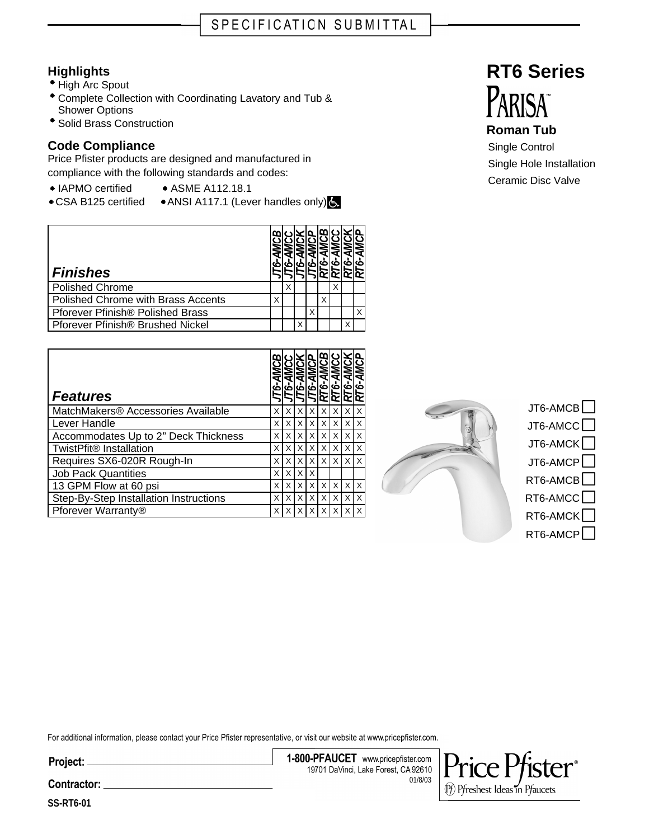## **Highlights**

- High Arc Spout
- Complete Collection with Coordinating Lavatory and Tub & Shower Options
- <sup>•</sup> Solid Brass Construction

## **Code Compliance**

Price Pfister products are designed and manufactured in compliance with the following standards and codes:

- IAPMO certified ASME A112.18.1
- CSA B125 certified ANSI A117.1 (Lever handles only)

| <b>Finishes</b>                         |   |   |   |   |   |   |   |
|-----------------------------------------|---|---|---|---|---|---|---|
| <b>Polished Chrome</b>                  |   | X |   |   |   |   |   |
| Polished Chrome with Brass Accents      | Χ |   |   |   | Χ |   |   |
| <b>Pforever Pfinish® Polished Brass</b> |   |   |   | X |   |   | X |
| Pforever Pfinish® Brushed Nickel        |   |   | x |   |   | Χ |   |

| <b>Features</b>                        | မ | ٥Ò | ൎ | ິ | ⅏<br>ယ်<br>œ | َخْهَ | ൎ | AMCP<br>RT6-, |
|----------------------------------------|---|----|---|---|--------------|-------|---|---------------|
| MatchMakers® Accessories Available     | X | X  | X | X | X            | X     |   | X             |
| Lever Handle                           | X | X  | X | X | X            | X     | X | X             |
| Accommodates Up to 2" Deck Thickness   | x | X  | X | x | X            | X     | X | X             |
| TwistPfit <sup>®</sup> Installation    | X | X  | X | X | X            | X     | X | X             |
| Requires SX6-020R Rough-In             | X | X  | X | X | X            | X     | X | $\times$      |
| <b>Job Pack Quantities</b>             | X | X  | X | X |              |       |   |               |
| 13 GPM Flow at 60 psi                  | X | X  | X | X | X            | X     | X | X             |
| Step-By-Step Installation Instructions | X | X  | X | X | X            | X     | X | X             |
| Pforever Warranty®                     | x |    | X | x | X            |       |   | X             |



| $J$ т6-АМСВ $\Box$    |
|-----------------------|
| JT6-AMCC $\Box$       |
| $JT6$ -AMCK $\Box$    |
| JT6-AMCP $\Box$       |
| $RT6$ -AMCB $\Box$    |
| RT6-AMCC $\Box$       |
| $RT6$ -AMCK $\square$ |
| RT6-AMCP $\Box$       |
|                       |

For additional information, please contact your Price Pfister representative, or visit our website at www.pricepfister.com.

Project: \_

1-800-PFAUCET www.pricepfister.com 19701 DaVinci, Lake Forest, CA 92610 01/8/03



**RT6 Series**

## **Roman Tub**

Single Control Single Hole Installation Ceramic Disc Valve

**SS-RT6-01**

Contractor: \_